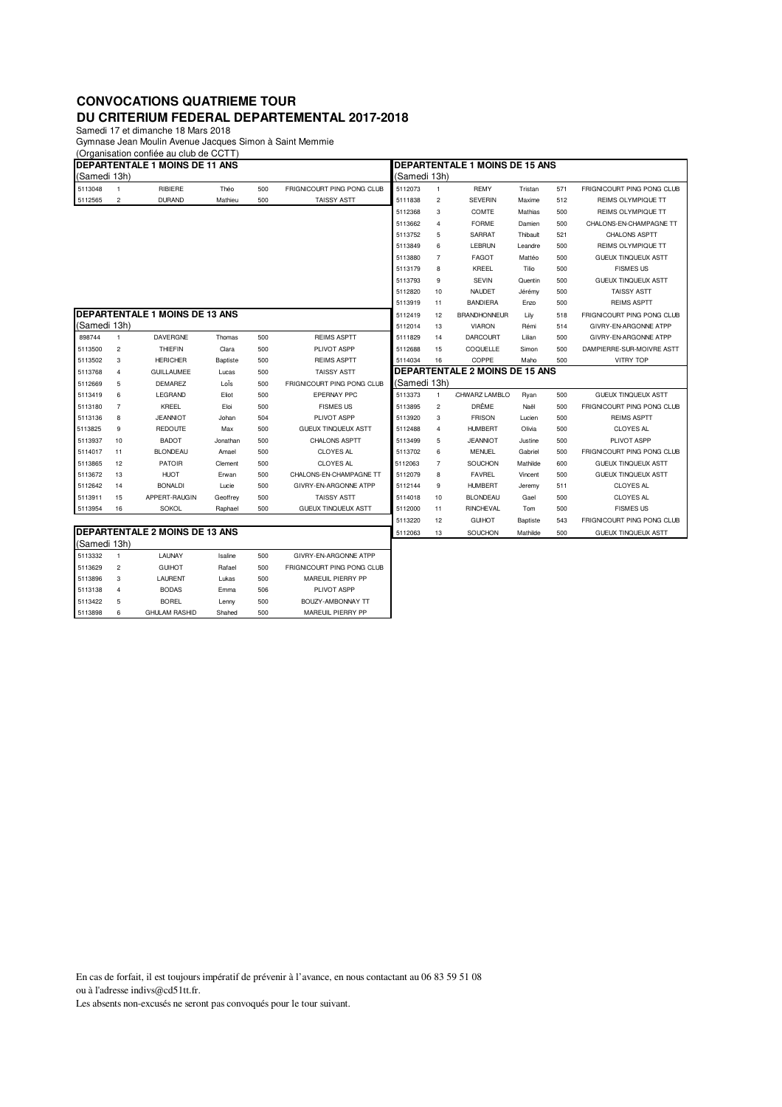## **CONVOCATIONS QUATRIEME TOUR DU CRITERIUM FEDERAL DEPARTEMENTAL 2017-2018**

Samedi 17 et dimanche 18 Mars 2018 Gymnase Jean Moulin Avenue Jacques Simon à Saint Memmie

(Organisation confiée au club de CCTT)

| <b>IDEPARTENTALE 1 MOINS DE 11 ANS</b> |                |                                       |                 |     |                            | <b>DEPARTENTALE 1 MOINS DE 15 ANS</b> |                         |                     |          |     |                            |  |  |
|----------------------------------------|----------------|---------------------------------------|-----------------|-----|----------------------------|---------------------------------------|-------------------------|---------------------|----------|-----|----------------------------|--|--|
| (Samedi 13h)                           |                |                                       |                 |     | (Samedi 13h)               |                                       |                         |                     |          |     |                            |  |  |
| 5113048                                | -1             | RIBIERE                               | Théo            | 500 | FRIGNICOURT PING PONG CLUB | 5112073                               | 1                       | <b>REMY</b>         | Tristan  | 571 | FRIGNICOURT PING PONG CLUB |  |  |
| 5112565                                | $\overline{c}$ | <b>DURAND</b>                         | Mathieu         | 500 | <b>TAISSY ASTT</b>         | 5111838                               | $\overline{\mathbf{c}}$ | <b>SEVERIN</b>      | Maxime   | 512 | <b>REIMS OLYMPIQUE TT</b>  |  |  |
|                                        |                |                                       |                 |     |                            | 5112368                               | 3                       | COMTE               | Mathias  | 500 | REIMS OLYMPIQUE TT         |  |  |
|                                        |                |                                       |                 |     |                            | 5113662                               | 4                       | <b>FORME</b>        | Damien   | 500 | CHALONS-EN-CHAMPAGNE TT    |  |  |
|                                        |                |                                       |                 |     |                            | 5113752                               | 5                       | <b>SARRAT</b>       | Thibault | 521 | CHALONS ASPTT              |  |  |
|                                        |                |                                       |                 |     |                            | 5113849                               | 6                       | LEBRUN              | Leandre  | 500 | REIMS OLYMPIQUE TT         |  |  |
|                                        |                |                                       |                 |     |                            | 5113880                               | $\overline{7}$          | <b>FAGOT</b>        | Mattéo   | 500 | <b>GUEUX TINQUEUX ASTT</b> |  |  |
|                                        |                |                                       |                 |     |                            | 5113179                               | 8                       | KREEL               | Tilio    | 500 | <b>FISMES US</b>           |  |  |
|                                        |                |                                       |                 |     |                            | 5113793                               | 9                       | <b>SEVIN</b>        | Quentin  | 500 | <b>GUEUX TINQUEUX ASTT</b> |  |  |
|                                        |                |                                       |                 |     |                            | 5112820                               | 10                      | <b>NAUDET</b>       | Jérémy   | 500 | <b>TAISSY ASTT</b>         |  |  |
|                                        |                |                                       |                 |     |                            | 5113919                               | 11                      | <b>BANDIERA</b>     | Enzo     | 500 | <b>REIMS ASPTT</b>         |  |  |
|                                        |                | <b>DEPARTENTALE 1 MOINS DE 13 ANS</b> |                 |     |                            | 5112419                               | 12                      | <b>BRANDHONNEUR</b> | Lily     | 518 | FRIGNICOURT PING PONG CLUB |  |  |
| (Samedi 13h)                           |                |                                       |                 |     |                            | 5112014                               | 13                      | <b>VIARON</b>       | Rémi     | 514 | GIVRY-EN-ARGONNE ATPP      |  |  |
| 898744                                 | $\overline{1}$ | DAVERGNE                              | Thomas          | 500 | <b>REIMS ASPTT</b>         | 5111829                               | 14                      | <b>DARCOURT</b>     | Lilian   | 500 | GIVRY-EN-ARGONNE ATPP      |  |  |
| 5113500                                | $\overline{c}$ | <b>THIEFIN</b>                        | Clara           | 500 | PLIVOT ASPP                | 5112688                               | 15                      | COQUELLE            | Simon    | 500 | DAMPIERRE-SUR-MOIVRE ASTT  |  |  |
| 5113502                                | 3              | <b>HERICHER</b>                       | <b>Baptiste</b> | 500 | <b>REIMS ASPTT</b>         | 5114034                               | 16                      | COPPE               | Maho     | 500 | <b>VITRY TOP</b>           |  |  |
| 5113768                                | $\overline{4}$ | <b>GUILLAUMEE</b>                     | Lucas           | 500 | <b>TAISSY ASTT</b>         | DEPARTENTALE 2 MOINS DE 15 ANS        |                         |                     |          |     |                            |  |  |
| 5112669                                | 5              | <b>DEMAREZ</b>                        | Loïs            | 500 | FRIGNICOURT PING PONG CLUB | (Samedi 13h)                          |                         |                     |          |     |                            |  |  |
| 5113419                                | 6              | LEGRAND                               | Eliot           | 500 | <b>EPERNAY PPC</b>         | 5113373                               | 1                       | CHWARZ LAMBLO       | Ryan     | 500 | <b>GUEUX TINQUEUX ASTT</b> |  |  |
| 5113180                                | $\overline{7}$ | KREEL                                 | Eloi            | 500 | <b>FISMES US</b>           | 5113895                               | 2                       | DRÊME               | Naël     | 500 | FRIGNICOURT PING PONG CLUB |  |  |
| 5113136                                | 8              | <b>JEANNIOT</b>                       | Johan           | 504 | PLIVOT ASPP                | 5113920                               | 3                       | <b>FRISON</b>       | Lucien   | 500 | <b>REIMS ASPTT</b>         |  |  |
| 5113825                                | 9              | <b>REDOUTE</b>                        | Max             | 500 | <b>GUEUX TINQUEUX ASTT</b> | 5112488                               | 4                       | <b>HUMBERT</b>      | Olivia   | 500 | <b>CLOYES AL</b>           |  |  |
| 5113937                                | 10             | <b>BADOT</b>                          | Jonathan        | 500 | <b>CHALONS ASPTT</b>       | 5113499                               | 5                       | <b>JEANNIOT</b>     | Justine  | 500 | PLIVOT ASPP                |  |  |
| 5114017                                | 11             | <b>BLONDEAU</b>                       | Amael           | 500 | <b>CLOYES AL</b>           | 5113702                               | 6                       | <b>MENUEL</b>       | Gabriel  | 500 | FRIGNICOURT PING PONG CLUB |  |  |
| 5113865                                | 12             | <b>PATOIR</b>                         | Clement         | 500 | <b>CLOYES AL</b>           | 5112063                               | $\overline{7}$          | SOUCHON             | Mathilde | 600 | <b>GUEUX TINQUEUX ASTT</b> |  |  |
| 5113672                                | 13             | <b>HUOT</b>                           | Erwan           | 500 | CHALONS-EN-CHAMPAGNE TT    | 5112079                               | 8                       | <b>FAVREL</b>       | Vincent  | 500 | <b>GUEUX TINQUEUX ASTT</b> |  |  |
| 5112642                                | 14             | <b>BONALDI</b>                        | Lucie           | 500 | GIVRY-EN-ARGONNE ATPP      | 5112144                               | 9                       | <b>HUMBERT</b>      | Jeremy   | 511 | <b>CLOYES AL</b>           |  |  |
| 5113911                                | 15             | APPERT-RAUGIN                         | Geoffrey        | 500 | <b>TAISSY ASTT</b>         | 5114018                               | 10                      | <b>BLONDEAU</b>     | Gael     | 500 | <b>CLOYES AL</b>           |  |  |
| 5113954                                | 16             | <b>SOKOL</b>                          | Raphael         | 500 | <b>GUEUX TINQUEUX ASTT</b> | 5112000                               | 11                      | RINCHEVAL           | Tom      | 500 | <b>FISMES US</b>           |  |  |
|                                        |                |                                       |                 |     |                            | 5113220                               | 12                      | <b>GUIHOT</b>       | Baptiste | 543 | FRIGNICOURT PING PONG CLUB |  |  |
| <b>DEPARTENTALE 2 MOINS DE 13 ANS</b>  |                |                                       |                 |     |                            |                                       | 13                      | SOUCHON             | Mathilde | 500 | <b>GUEUX TINQUEUX ASTT</b> |  |  |
| (Samedi 13h)                           |                |                                       |                 |     |                            |                                       |                         |                     |          |     |                            |  |  |
| 5113332                                | $\overline{1}$ | LAUNAY                                | Isaline         | 500 | GIVRY-EN-ARGONNE ATPP      |                                       |                         |                     |          |     |                            |  |  |
| 5113629                                | $\overline{c}$ | <b>GUIHOT</b>                         | Rafael          | 500 | FRIGNICOURT PING PONG CLUB |                                       |                         |                     |          |     |                            |  |  |
| 5113896                                | 3              | LAURENT                               | Lukas           | 500 | MAREUIL PIERRY PP          |                                       |                         |                     |          |     |                            |  |  |
| 5113138                                | $\overline{4}$ | <b>BODAS</b>                          | Emma            | 506 | PLIVOT ASPP                |                                       |                         |                     |          |     |                            |  |  |
| 5113422                                | 5              | <b>BOREL</b>                          | Lenny           | 500 | BOUZY-AMBONNAY TT          |                                       |                         |                     |          |     |                            |  |  |

En cas de forfait, il est toujours impératif de prévenir à l'avance, en nous contactant au 06 83 59 51 08 ou à l'adresse indivs@cd51tt.fr.

Les absents non-excusés ne seront pas convoqués pour le tour suivant.

5113898 6 GHULAM RASHID Shahed 500 MAREUIL PIERRY PP